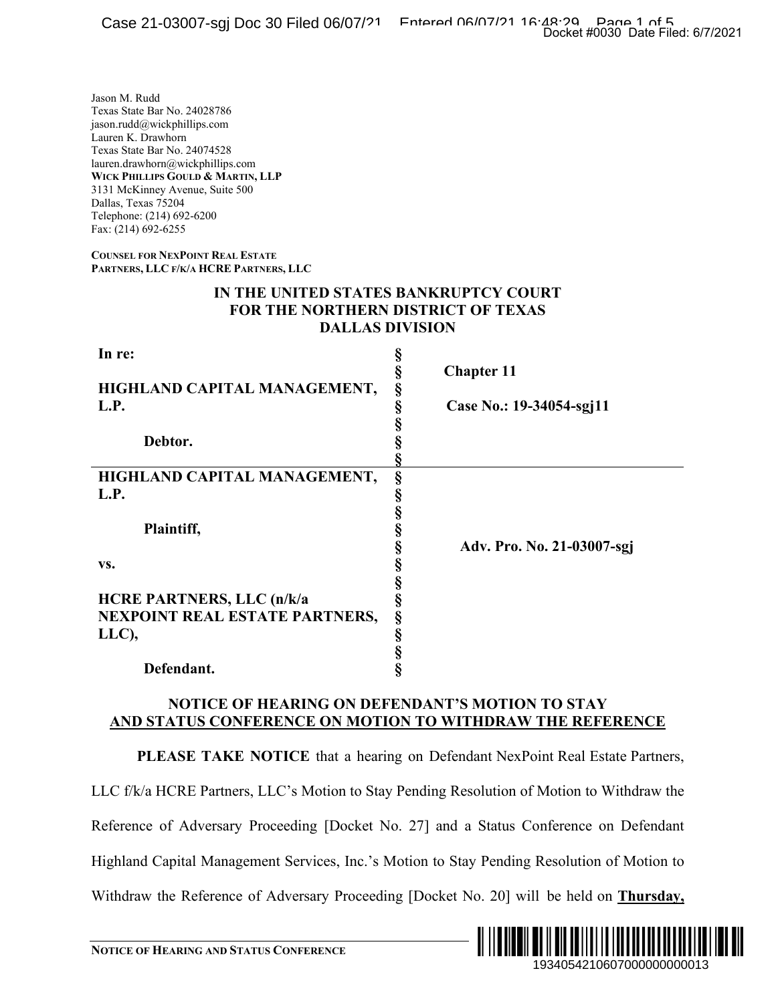## **IN THE UNITED STATES BANKRUPTCY COURT FOR THE NORTHERN DISTRICT OF TEXAS DALLAS DIVISION**

|                                                                                                                                                                                                                                                                                                                          | Docket #0030 Date Filed: 6/7/2021                                                                |
|--------------------------------------------------------------------------------------------------------------------------------------------------------------------------------------------------------------------------------------------------------------------------------------------------------------------------|--------------------------------------------------------------------------------------------------|
| Jason M. Rudd<br>Texas State Bar No. 24028786<br>ason.rudd@wickphillips.com<br>Lauren K. Drawhorn<br>Texas State Bar No. 24074528<br>lauren.drawhorn@wickphillips.com<br>WICK PHILLIPS GOULD & MARTIN, LLP<br>3131 McKinney Avenue, Suite 500<br>Dallas, Texas 75204<br>Felephone: (214) 692-6200<br>Fax: (214) 692-6255 |                                                                                                  |
| <b>COUNSEL FOR NEXPOINT REAL ESTATE</b><br>PARTNERS, LLC F/K/A HCRE PARTNERS, LLC                                                                                                                                                                                                                                        |                                                                                                  |
| IN THE UNITED STATES BANKRUPTCY COURT<br><b>FOR THE NORTHERN DISTRICT OF TEXAS</b><br><b>DALLAS DIVISION</b>                                                                                                                                                                                                             |                                                                                                  |
| In re:<br>HIGHLAND CAPITAL MANAGEMENT,<br>L.P.<br>Debtor.<br>HIGHLAND CAPITAL MANAGEMENT,<br>L.P.<br>Plaintiff,                                                                                                                                                                                                          | §<br>§<br><b>Chapter 11</b><br>§<br>Case No.: 19-34054-sgj11<br>§<br>§<br>§<br>§<br>Ş            |
| VS.<br><b>HCRE PARTNERS, LLC (n/k/a</b><br>NEXPOINT REAL ESTATE PARTNERS,<br>LLC),<br>Defendant.                                                                                                                                                                                                                         | §<br>Adv. Pro. No. 21-03007-sgj<br>§<br>§<br>$\mathbf{\Omega}$<br>s<br>§<br>§<br>§<br>Ś          |
| NOTICE OF HEARING ON DEFENDANT'S MOTION TO STAY<br>AND STATUS CONFERENCE ON MOTION TO WITHDRAW THE REFERENCE                                                                                                                                                                                                             |                                                                                                  |
|                                                                                                                                                                                                                                                                                                                          | PLEASE TAKE NOTICE that a hearing on Defendant NexPoint Real Estate Partners,                    |
|                                                                                                                                                                                                                                                                                                                          | LLC f/k/a HCRE Partners, LLC's Motion to Stay Pending Resolution of Motion to Withdraw the       |
|                                                                                                                                                                                                                                                                                                                          | Reference of Adversary Proceeding [Docket No. 27] and a Status Conference on Defendant           |
|                                                                                                                                                                                                                                                                                                                          | Highland Capital Management Services, Inc.'s Motion to Stay Pending Resolution of Motion to      |
|                                                                                                                                                                                                                                                                                                                          | Withdraw the Reference of Adversary Proceeding [Docket No. 20] will be held on <b>Thursday</b> , |
| <b>NOTICE OF HEARING AND STATUS CONFERENCE</b>                                                                                                                                                                                                                                                                           | <u> A ALIMIN SIN SANDININ ALIMIN SIN</u><br>IIIIIIIII<br>1934054210607000000000013               |

# **NOTICE OF HEARING ON DEFENDANT'S MOTION TO STAY AND STATUS CONFERENCE ON MOTION TO WITHDRAW THE REFERENCE**

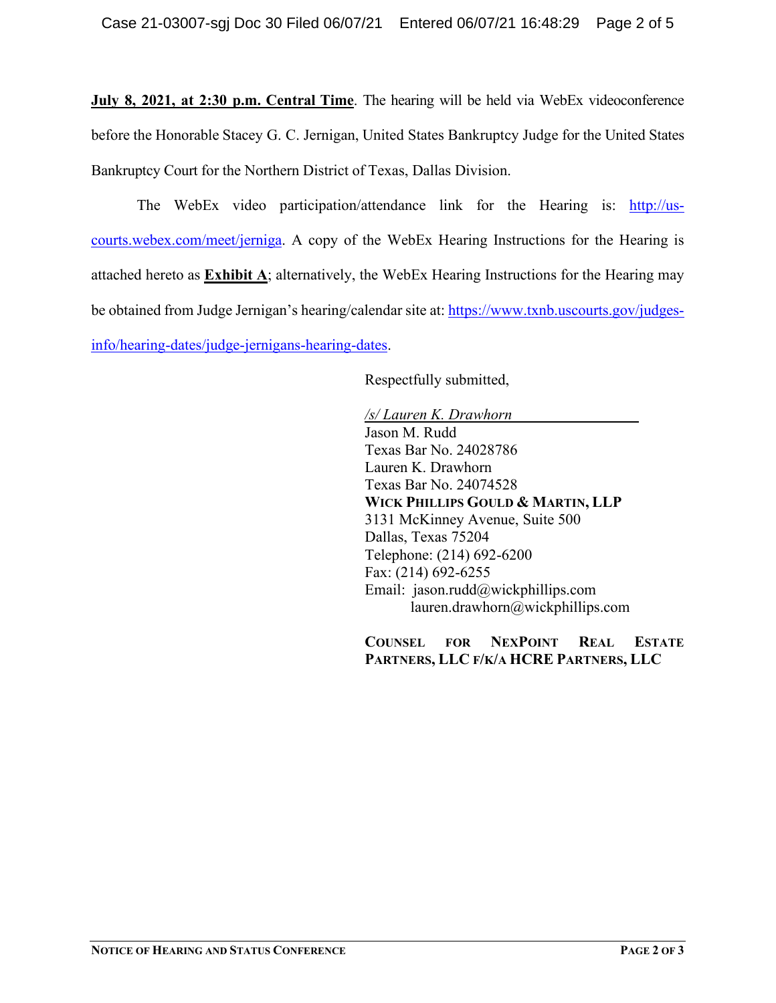**July 8, 2021, at 2:30 p.m. Central Time**. The hearing will be held via WebEx videoconference before the Honorable Stacey G. C. Jernigan, United States Bankruptcy Judge for the United States Bankruptcy Court for the Northern District of Texas, Dallas Division.

The WebEx video participation/attendance link for the Hearing is: [http://us](http://us-courts.webex.com/meet/jerniga)[courts.webex.com/meet/jerniga.](http://us-courts.webex.com/meet/jerniga) A copy of the WebEx Hearing Instructions for the Hearing is attached hereto as **Exhibit A**; alternatively, the WebEx Hearing Instructions for the Hearing may be obtained from Judge Jernigan's hearing/calendar site at[: https://www.txnb.uscourts.gov/judges](https://www.txnb.uscourts.gov/judges-info/hearing-dates/judge-jernigans-hearing-dates)[info/hearing-dates/judge-jernigans-hearing-dates.](https://www.txnb.uscourts.gov/judges-info/hearing-dates/judge-jernigans-hearing-dates)

Respectfully submitted,

*/s/ Lauren K. Drawhorn* Jason M. Rudd Texas Bar No. 24028786 Lauren K. Drawhorn Texas Bar No. 24074528 **WICK PHILLIPS GOULD & MARTIN, LLP** 3131 McKinney Avenue, Suite 500 Dallas, Texas 75204 Telephone: (214) 692-6200 Fax: (214) 692-6255 Email: jason.rudd@wickphillips.com lauren.drawhorn@wickphillips.com

**COUNSEL FOR NEXPOINT REAL ESTATE PARTNERS, LLC F/K/A HCRE PARTNERS, LLC**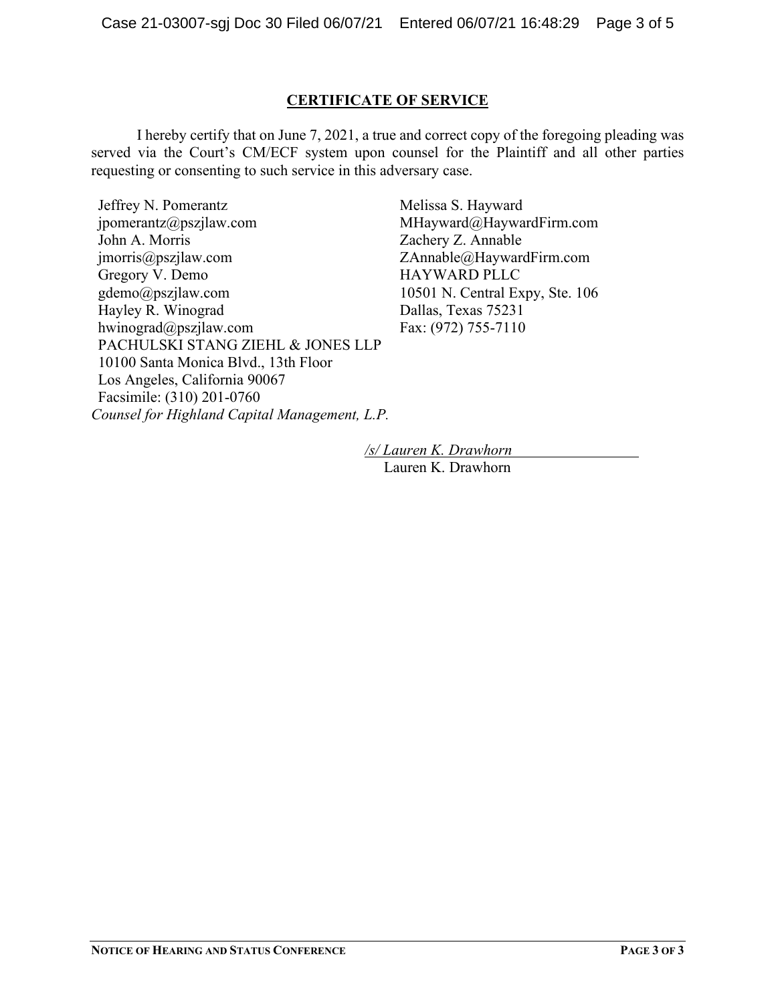## **CERTIFICATE OF SERVICE**

I hereby certify that on June 7, 2021, a true and correct copy of the foregoing pleading was served via the Court's CM/ECF system upon counsel for the Plaintiff and all other parties requesting or consenting to such service in this adversary case.

Jeffrey N. Pomerantz jpomerantz@pszjlaw.com John A. Morris jmorris@pszjlaw.com Gregory V. Demo gdemo@pszjlaw.com Hayley R. Winograd hwinograd@pszjlaw.com PACHULSKI STANG ZIEHL & JONES LLP 10100 Santa Monica Blvd., 13th Floor Los Angeles, California 90067 Facsimile: (310) 201-0760 *Counsel for Highland Capital Management, L.P.*

Melissa S. Hayward MHayward@HaywardFirm.com Zachery Z. Annable ZAnnable@HaywardFirm.com HAYWARD PLLC 10501 N. Central Expy, Ste. 106 Dallas, Texas 75231 Fax: (972) 755-7110

*/s/ Lauren K. Drawhorn* Lauren K. Drawhorn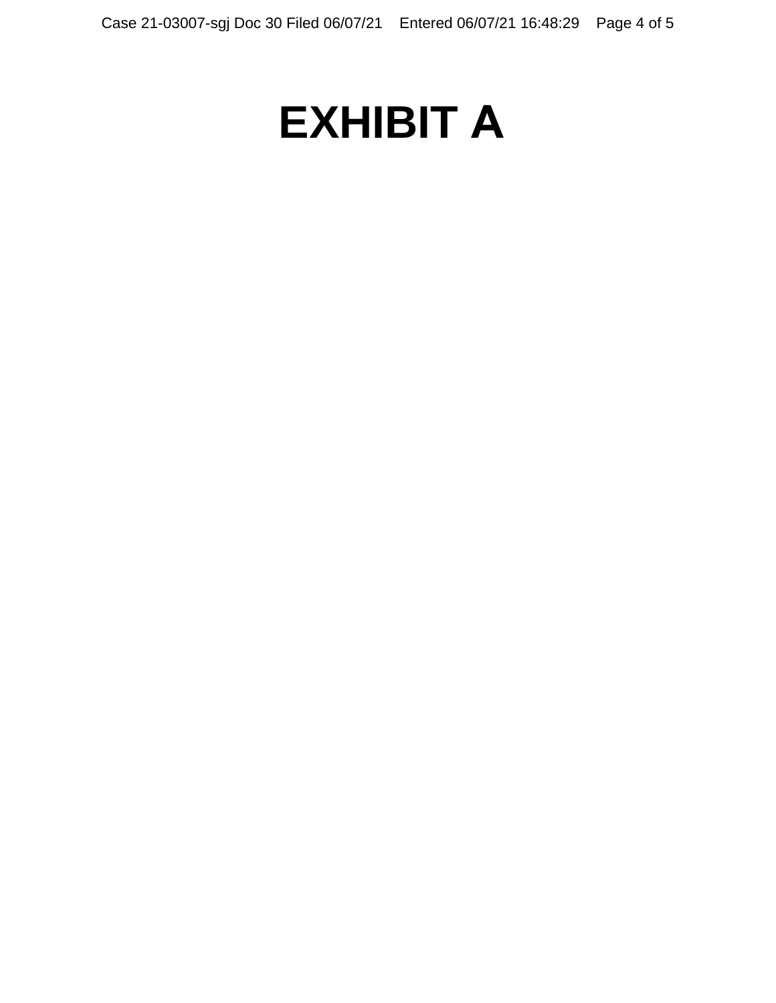# **EXHIBIT A**